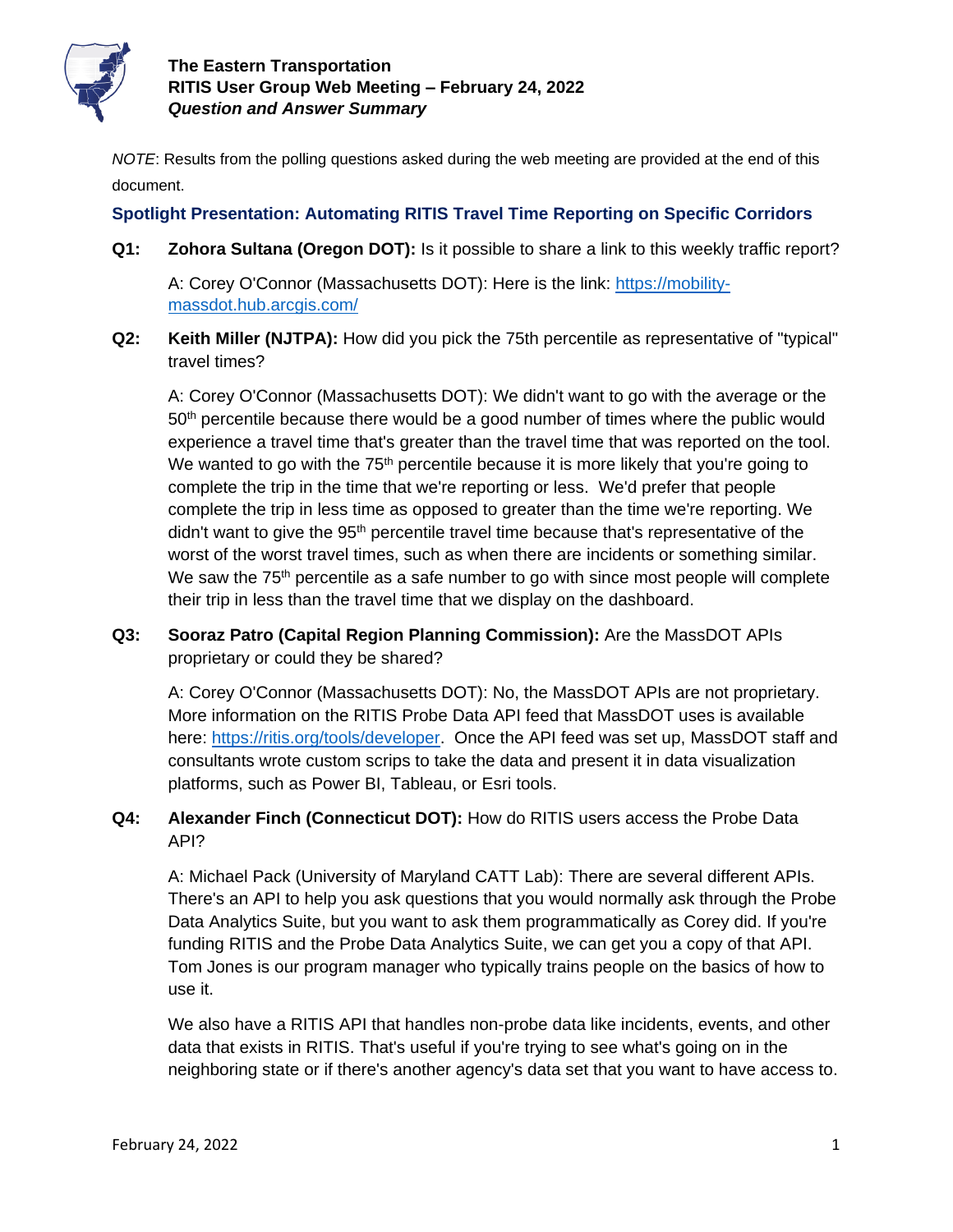

*NOTE*: Results from the polling questions asked during the web meeting are provided at the end of this document.

## **Spotlight Presentation: Automating RITIS Travel Time Reporting on Specific Corridors**

**Q1: Zohora Sultana (Oregon DOT):** Is it possible to share a link to this weekly traffic report?

A: Corey O'Connor (Massachusetts DOT): Here is the link: [https://mobility](https://mobility-massdot.hub.arcgis.com/)[massdot.hub.arcgis.com/](https://mobility-massdot.hub.arcgis.com/)

**Q2: Keith Miller (NJTPA):** How did you pick the 75th percentile as representative of "typical" travel times?

A: Corey O'Connor (Massachusetts DOT): We didn't want to go with the average or the  $50<sup>th</sup>$  percentile because there would be a good number of times where the public would experience a travel time that's greater than the travel time that was reported on the tool. We wanted to go with the  $75<sup>th</sup>$  percentile because it is more likely that you're going to complete the trip in the time that we're reporting or less. We'd prefer that people complete the trip in less time as opposed to greater than the time we're reporting. We didn't want to give the 95<sup>th</sup> percentile travel time because that's representative of the worst of the worst travel times, such as when there are incidents or something similar. We saw the  $75<sup>th</sup>$  percentile as a safe number to go with since most people will complete their trip in less than the travel time that we display on the dashboard.

**Q3: Sooraz Patro (Capital Region Planning Commission):** Are the MassDOT APIs proprietary or could they be shared?

A: Corey O'Connor (Massachusetts DOT): No, the MassDOT APIs are not proprietary. More information on the RITIS Probe Data API feed that MassDOT uses is available here: [https://ritis.org/tools/developer.](https://ritis.org/tools/developer) Once the API feed was set up, MassDOT staff and consultants wrote custom scrips to take the data and present it in data visualization platforms, such as Power BI, Tableau, or Esri tools.

**Q4: Alexander Finch (Connecticut DOT):** How do RITIS users access the Probe Data API?

A: Michael Pack (University of Maryland CATT Lab): There are several different APIs. There's an API to help you ask questions that you would normally ask through the Probe Data Analytics Suite, but you want to ask them programmatically as Corey did. If you're funding RITIS and the Probe Data Analytics Suite, we can get you a copy of that API. Tom Jones is our program manager who typically trains people on the basics of how to use it.

We also have a RITIS API that handles non-probe data like incidents, events, and other data that exists in RITIS. That's useful if you're trying to see what's going on in the neighboring state or if there's another agency's data set that you want to have access to.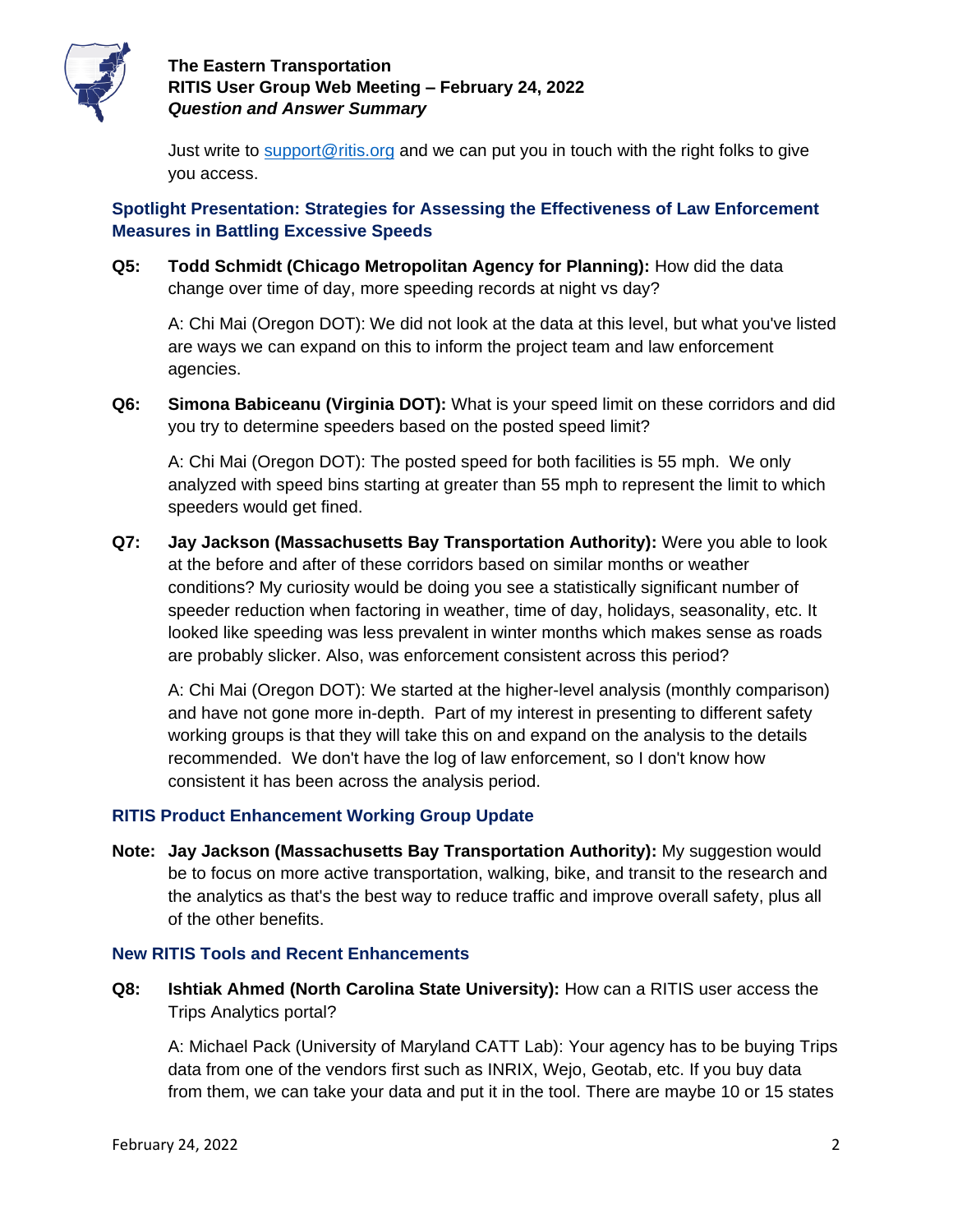

Just write to [support@ritis.org](mailto:support@ritis.org) and we can put you in touch with the right folks to give you access.

## **Spotlight Presentation: Strategies for Assessing the Effectiveness of Law Enforcement Measures in Battling Excessive Speeds**

**Q5: Todd Schmidt (Chicago Metropolitan Agency for Planning):** How did the data change over time of day, more speeding records at night vs day?

A: Chi Mai (Oregon DOT): We did not look at the data at this level, but what you've listed are ways we can expand on this to inform the project team and law enforcement agencies.

**Q6: Simona Babiceanu (Virginia DOT):** What is your speed limit on these corridors and did you try to determine speeders based on the posted speed limit?

A: Chi Mai (Oregon DOT): The posted speed for both facilities is 55 mph. We only analyzed with speed bins starting at greater than 55 mph to represent the limit to which speeders would get fined.

**Q7: Jay Jackson (Massachusetts Bay Transportation Authority):** Were you able to look at the before and after of these corridors based on similar months or weather conditions? My curiosity would be doing you see a statistically significant number of speeder reduction when factoring in weather, time of day, holidays, seasonality, etc. It looked like speeding was less prevalent in winter months which makes sense as roads are probably slicker. Also, was enforcement consistent across this period?

A: Chi Mai (Oregon DOT): We started at the higher-level analysis (monthly comparison) and have not gone more in-depth. Part of my interest in presenting to different safety working groups is that they will take this on and expand on the analysis to the details recommended. We don't have the log of law enforcement, so I don't know how consistent it has been across the analysis period.

#### **RITIS Product Enhancement Working Group Update**

**Note: Jay Jackson (Massachusetts Bay Transportation Authority):** My suggestion would be to focus on more active transportation, walking, bike, and transit to the research and the analytics as that's the best way to reduce traffic and improve overall safety, plus all of the other benefits.

#### **New RITIS Tools and Recent Enhancements**

**Q8: Ishtiak Ahmed (North Carolina State University):** How can a RITIS user access the Trips Analytics portal?

A: Michael Pack (University of Maryland CATT Lab): Your agency has to be buying Trips data from one of the vendors first such as INRIX, Wejo, Geotab, etc. If you buy data from them, we can take your data and put it in the tool. There are maybe 10 or 15 states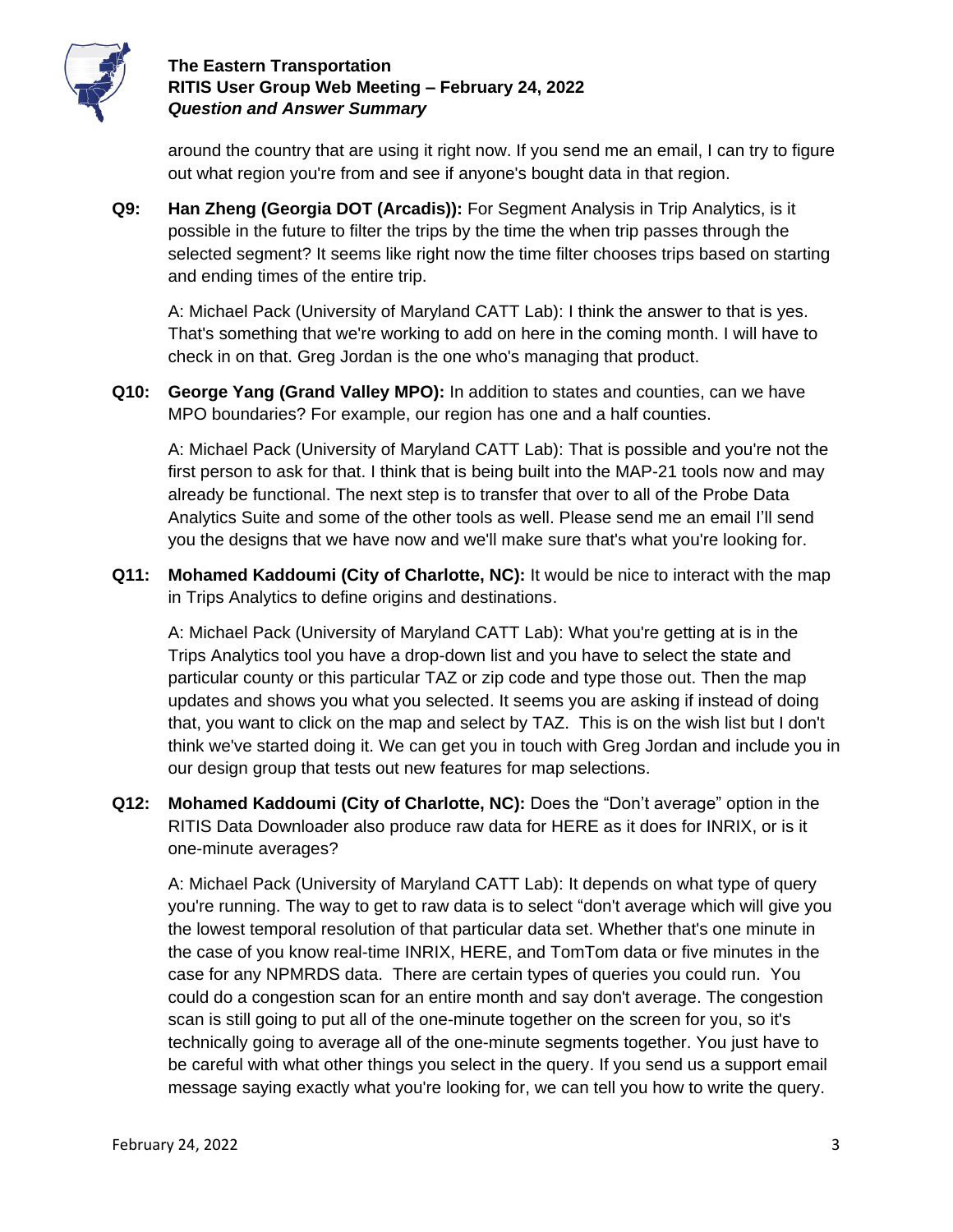

around the country that are using it right now. If you send me an email, I can try to figure out what region you're from and see if anyone's bought data in that region.

**Q9: Han Zheng (Georgia DOT (Arcadis)):** For Segment Analysis in Trip Analytics, is it possible in the future to filter the trips by the time the when trip passes through the selected segment? It seems like right now the time filter chooses trips based on starting and ending times of the entire trip.

A: Michael Pack (University of Maryland CATT Lab): I think the answer to that is yes. That's something that we're working to add on here in the coming month. I will have to check in on that. Greg Jordan is the one who's managing that product.

**Q10: George Yang (Grand Valley MPO):** In addition to states and counties, can we have MPO boundaries? For example, our region has one and a half counties.

A: Michael Pack (University of Maryland CATT Lab): That is possible and you're not the first person to ask for that. I think that is being built into the MAP-21 tools now and may already be functional. The next step is to transfer that over to all of the Probe Data Analytics Suite and some of the other tools as well. Please send me an email I'll send you the designs that we have now and we'll make sure that's what you're looking for.

**Q11: Mohamed Kaddoumi (City of Charlotte, NC):** It would be nice to interact with the map in Trips Analytics to define origins and destinations.

A: Michael Pack (University of Maryland CATT Lab): What you're getting at is in the Trips Analytics tool you have a drop-down list and you have to select the state and particular county or this particular TAZ or zip code and type those out. Then the map updates and shows you what you selected. It seems you are asking if instead of doing that, you want to click on the map and select by TAZ. This is on the wish list but I don't think we've started doing it. We can get you in touch with Greg Jordan and include you in our design group that tests out new features for map selections.

**Q12: Mohamed Kaddoumi (City of Charlotte, NC):** Does the "Don't average" option in the RITIS Data Downloader also produce raw data for HERE as it does for INRIX, or is it one-minute averages?

A: Michael Pack (University of Maryland CATT Lab): It depends on what type of query you're running. The way to get to raw data is to select "don't average which will give you the lowest temporal resolution of that particular data set. Whether that's one minute in the case of you know real-time INRIX, HERE, and TomTom data or five minutes in the case for any NPMRDS data. There are certain types of queries you could run. You could do a congestion scan for an entire month and say don't average. The congestion scan is still going to put all of the one-minute together on the screen for you, so it's technically going to average all of the one-minute segments together. You just have to be careful with what other things you select in the query. If you send us a support email message saying exactly what you're looking for, we can tell you how to write the query.